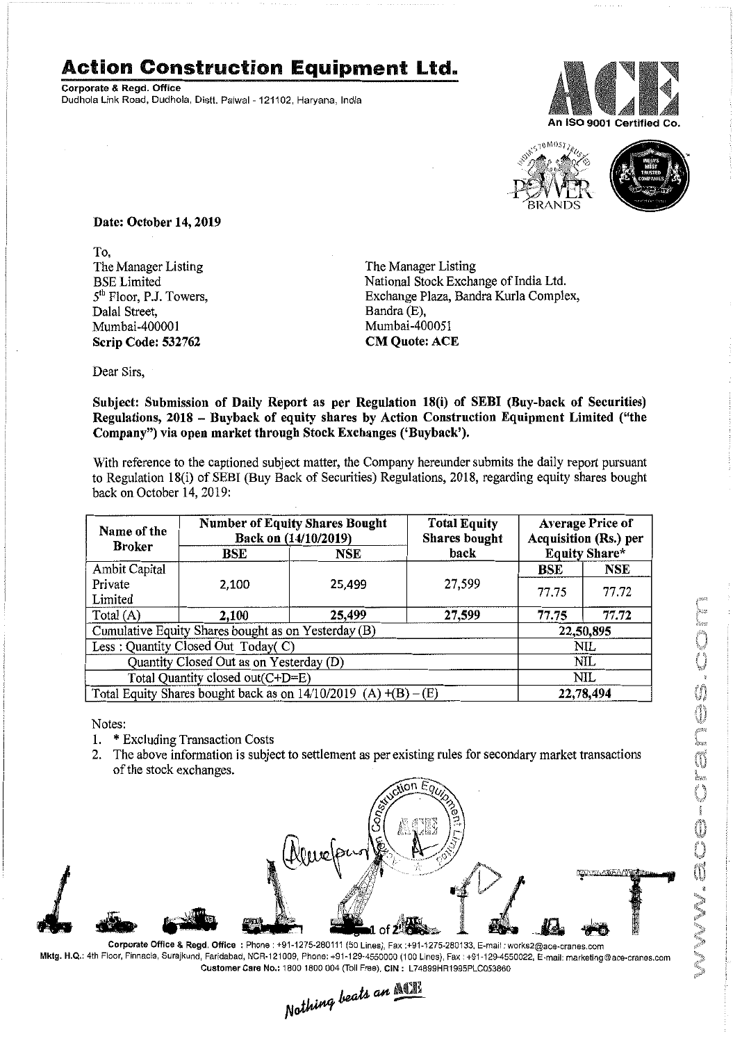## **Action Construction Equipment Ltd.**

Corporate & Regd. Office Dudhola Link Road, Dudhola, Distt. Palwal - 121102, Haryana, India





Date: October 14, 2019

To, The Manager Listing BSELimited 5<sup>th</sup> Floor, P.J. Towers, Dalal Street, Mumbai-400001 Scrip Code: 532762

The Manager Listing National Stock Exchange of India Ltd. Exchange Plaza, Bandra Kurla Complex, Bandra (E), Mumbai-400051 CM Quote: ACE

Dear Sirs,

Subject: Submission of Daily Report as per Regulation 18(i) of SEBI (Buy-back of Securities) Regulations, 2018 - Buyback of equity shares by Action Construction Equipment Limited ("the Company") via open market through Stock Exchanges ('Buyback').

With reference to the captioned subject matter, the Company hereunder submits the daily report pursuant to Regulation 18(i) of SEBI (Buy Back of Securities) Regulations, 2018, regarding equity shares bought back on October 14,2019:

| Name of the                                                         | <b>Number of Equity Shares Bought</b><br>Back on (14/10/2019) |        | <b>Total Equity</b><br><b>Shares</b> bought | <b>Average Price of</b><br>Acquisition (Rs.) per<br><b>Equity Share*</b> |           |  |
|---------------------------------------------------------------------|---------------------------------------------------------------|--------|---------------------------------------------|--------------------------------------------------------------------------|-----------|--|
| <b>Broker</b>                                                       | back<br>NSE<br>BSE                                            |        |                                             |                                                                          |           |  |
| Ambit Capital                                                       |                                                               |        |                                             | BSE                                                                      | NSE       |  |
| Private                                                             | 2,100                                                         | 25,499 | 27,599                                      | 77.75                                                                    | 77.72     |  |
| Limited                                                             |                                                               |        |                                             |                                                                          |           |  |
| Total $(A)$                                                         | 2,100                                                         | 25,499 | 27,599                                      | 77.75                                                                    | 77.72     |  |
| Cumulative Equity Shares bought as on Yesterday (B)                 |                                                               |        |                                             |                                                                          | 22,50,895 |  |
| Less : Quantity Closed Out Today(C)                                 |                                                               |        |                                             | NIL                                                                      |           |  |
| Quantity Closed Out as on Yesterday (D)                             |                                                               |        |                                             | NIL                                                                      |           |  |
| Total Quantity closed out(C+D=E)                                    |                                                               |        |                                             | NIL                                                                      |           |  |
| Total Equity Shares bought back as on $14/10/2019$ (A) $+(B) - (E)$ |                                                               |        |                                             | 22,78,494                                                                |           |  |

Notes:

- 1. \* Excluding Transaction Costs
- 2. The above information is subject to settlementas per existing rules for secondary market transactions of the stock exchanges.



Corporate Office & Regd, Office: Phone: +91-1275·280111*(50* Lines), Fax:+91·1275-280133, E·mail : works2@ace-cranes.com Mktg. H.Q.: 4th Floor, Pinnacle, Surajkund, Faridabad, NCR-121009, Phona: +91-129·4550000 (100 Lines),Fax: +91-129·4550022,E-mail: marketing@ace.cranes.com

Customer Care No.: *1800* 1800 004 (Toll Free), CIN: L74899HR1995PLC053860<br>Nathing beats an **Allia**